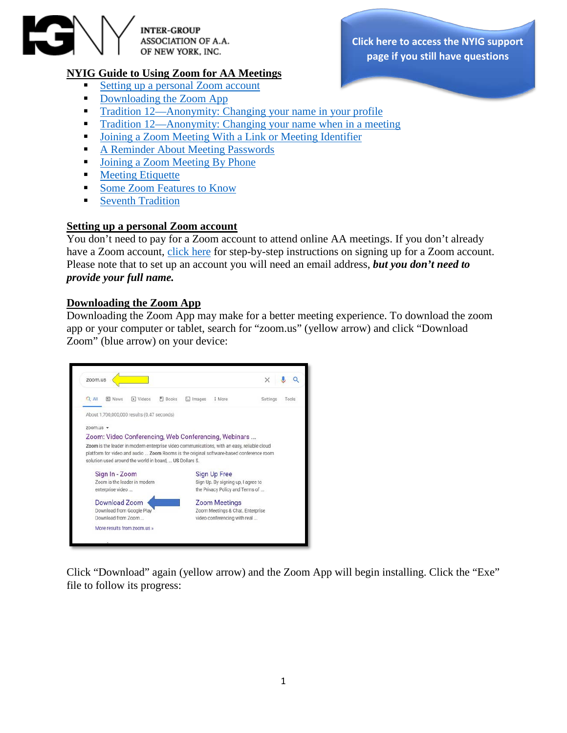

**INTER-GROUP** ASSOCIATION OF A.A. OF NEW YORK, INC.

# **NYIG Guide to Using Zoom for AA Meetings**

- Setting up a personal [Zoom account](#page-0-0)
- [Downloading the Zoom App](#page-0-1)
- [Tradition 12—Anonymity: Changing your name in your profile](#page-1-0)
- [Tradition 12—Anonymity: Changing your name when in a meeting](#page-3-0)
- [Joining a Zoom Meeting With a Link or Meeting Identifier](#page-4-0)
- **[A Reminder About Meeting Passwords](#page-4-1)**
- **[Joining a Zoom Meeting By Phone](#page-5-0)**
- **[Meeting Etiquette](#page-5-1)**
- [Some Zoom Features to Know](#page-5-2)
- [Seventh Tradition](#page-6-0)

## <span id="page-0-0"></span>**Setting up a personal Zoom account**

You don't need to pay for a Zoom account to attend online AA meetings. If you don't already have a Zoom account, [click here](https://www.nyintergroup.org/remote-meetings/join-the-nyig-zoom-meeting-room/what-is-the-aa-zoom-room/nyig-zoom-room-support/zoom-free-account-setup-guide-for-members/) for step-by-step instructions on signing up for a Zoom account. Please note that to set up an account you will need an email address, *but you don't need to provide your full name.*

#### <span id="page-0-1"></span>**Downloading the Zoom App**

Downloading the Zoom App may make for a better meeting experience. To download the zoom app or your computer or tablet, search for "zoom.us" (yellow arrow) and click "Download Zoom" (blue arrow) on your device:



Click "Download" again (yellow arrow) and the Zoom App will begin installing. Click the "Exe" file to follow its progress:

**[Click here to access the NYIG](https://www.nyintergroup.org/help-desk/) support page if you still have questions**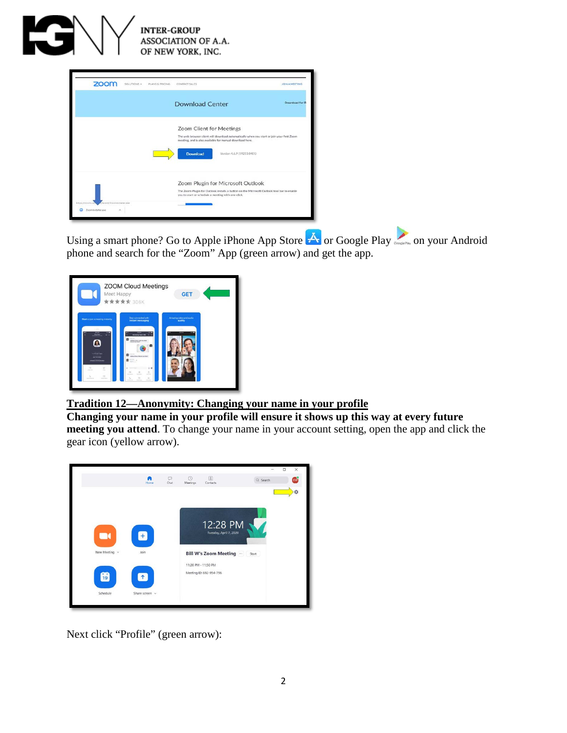

|                                                          | <b>Download Center</b>                                                                                                                                                                                                             | Download for IT |
|----------------------------------------------------------|------------------------------------------------------------------------------------------------------------------------------------------------------------------------------------------------------------------------------------|-----------------|
|                                                          | Zoom Client for Meetings<br>The web browser client will download automatically when you start or join your first Zoom<br>meeting, and is also available for manual download here.<br><b>Download</b><br>Version 4.6.9 (19253.0401) |                 |
| /latest/Zoominstaller.exe<br>Zoominstaller.exe<br>$\sim$ | Zoom Plugin for Microsoft Outlook<br>The Zoom Plugin for Outlook installs a button on the Microsoft Outlook tool bar to enable<br>you to start or schedule a meeting with one-click.                                               |                 |

Using a smart phone? Go to Apple iPhone App Store  $\bigoplus$  or Google Play  $\bigoplus_{\text{supp} \in \mathbb{N}}$  on your Android phone and search for the "Zoom" App (green arrow) and get the app.

| Meet Happy                                                                                                                           | <b>ZOOM Cloud Meetings</b><br><b>*****</b> 306K                                                                                           | <b>GET</b>                                   |
|--------------------------------------------------------------------------------------------------------------------------------------|-------------------------------------------------------------------------------------------------------------------------------------------|----------------------------------------------|
| Start or join a meeting instantly<br>n.<br>$\sim$<br>$-1$<br>۸                                                                       | Stay connected with<br>instant messaging<br>œ<br>the Name (State)<br><b>Chinese Manufacture ment</b><br>a                                 | Amazing video and audio<br>quality<br>$\sim$ |
| APRILED BER<br><b>HE'WAY</b><br>$\Box$<br>$\mathbf{r}$<br>m<br>---<br>12<br>$\tau_{\rm e}$<br><b>San Archiver</b><br><b>SHOW THE</b> | ø<br>police for a that or you think?<br>W.<br>0.0<br>b<br>$\sim$<br>$\equiv$<br><b>STATISTICS</b><br>---<br>--<br>$^{55}$<br>t,<br>$\sim$ |                                              |

# <span id="page-1-0"></span>**Tradition 12—Anonymity: Changing your name in your profile**

**Changing your name in your profile will ensure it shows up this way at every future meeting you attend**. To change your name in your account setting, open the app and click the gear icon (yellow arrow).



Next click "Profile" (green arrow):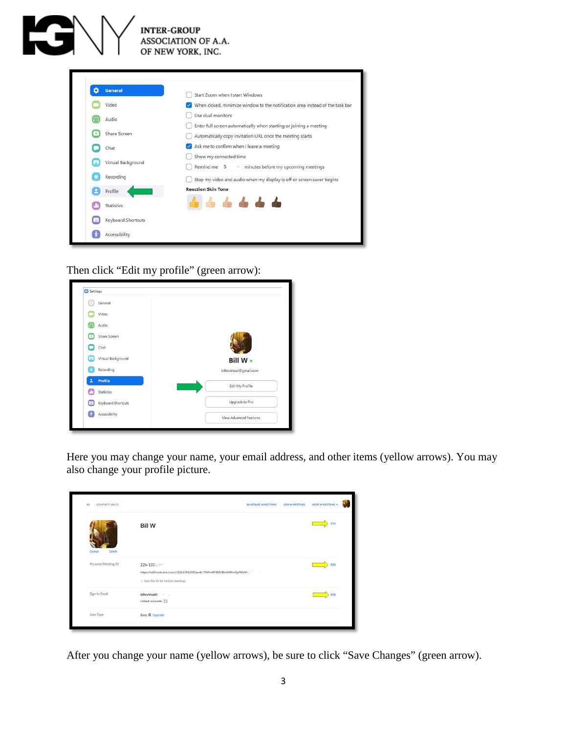| <b>General</b>     | Start Zoom when I start Windows                                               |
|--------------------|-------------------------------------------------------------------------------|
| Video              | When closed, minimize window to the notification area instead of the task bar |
| Audio              | Use dual monitors                                                             |
| Share Screen       | Enter full screen automatically when starting or joining a meeting            |
| Chat               | Automatically copy invitation URL once the meeting starts                     |
| Virtual Background | Ask me to confirm when I leave a meeting                                      |
| Recording          | Show my connected time                                                        |
| Profile            | Remind me 5 v minutes before my upcoming meetings                             |
| <b>Statistics</b>  | Stop my video and audio when my display is off or screen saver begins         |
| Keyboard Shortcuts | <b>Reaction Skin Tone</b>                                                     |
| Accessibility      |                                                                               |

Then click "Edit my profile" (green arrow):

| General<br>m            |                        |
|-------------------------|------------------------|
| Video                   |                        |
| Audio                   |                        |
| Share Screen<br>٠       |                        |
| Chat                    |                        |
| Virtual Background<br>Ξ | <b>Bill W ·</b>        |
| Recording<br>c          | billwvirtual@gmail.com |
| Profile                 | Edit My Profile        |
| Statistics              |                        |
| Keyboard Shortcuts      | Upgrade to Pro         |
| Accessibility           | View Advanced Features |

Here you may change your name, your email address, and other items (yellow arrows). You may also change your profile picture.

| CONTACT SALES<br>4G | SCHEDULE A MEETING<br><b>JOIN A MEETING</b>                                                                               | HOST A MEETING + |
|---------------------|---------------------------------------------------------------------------------------------------------------------------|------------------|
| Change<br>Delete    | <b>Bill W</b>                                                                                                             | Edit             |
| Personal Meeting ID | $226 - 135$<br>https://us04web.zoo.r.us/j/2261396335?pwd=TWhndIVBZVBkaWRneCpPtVNr-<br>IL Use this ID for Instant meetings | Edit             |
| Sign-In Email       | Linked accounts:                                                                                                          | Edit             |
| User Type           | <b>Basic @ Upgrade</b>                                                                                                    |                  |

After you change your name (yellow arrows), be sure to click "Save Changes" (green arrow).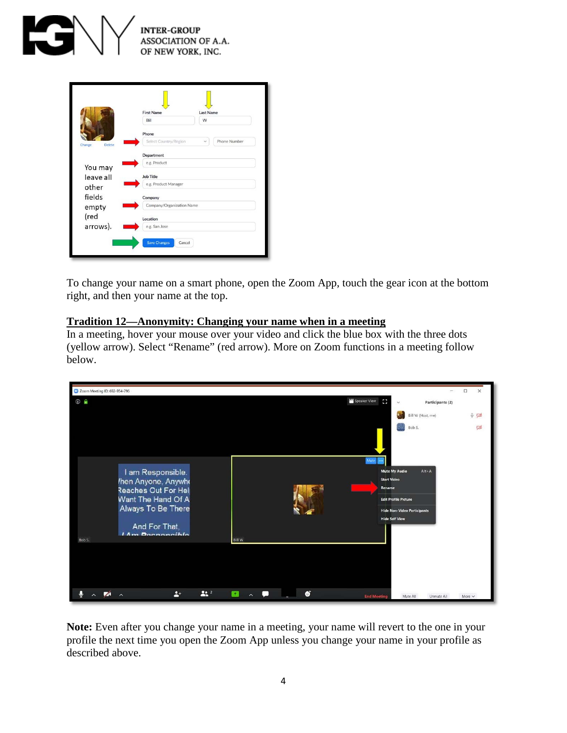

|                         | <b>First Name</b>             | <b>Last Name</b> |                     |
|-------------------------|-------------------------------|------------------|---------------------|
|                         | Bill                          | W                |                     |
|                         | Phone                         |                  |                     |
| <b>Delete</b><br>Change | Select Country/Region         | $\checkmark$     | <b>Phone Number</b> |
|                         | Department                    |                  |                     |
|                         | e.g. Product                  |                  |                     |
| You may<br>leave all    | <b>Job Title</b>              |                  |                     |
| other                   | e.g. Product Manager          |                  |                     |
| fields                  | Company                       |                  |                     |
| empty                   | Company/Organization Name     |                  |                     |
| (red                    | Location                      |                  |                     |
| arrows).                | e.g. San Jose                 |                  |                     |
|                         | <b>Save Changes</b><br>Cancel |                  |                     |

To change your name on a smart phone, open the Zoom App, touch the gear icon at the bottom right, and then your name at the top.

## <span id="page-3-0"></span>**Tradition 12—Anonymity: Changing your name when in a meeting**

In a meeting, hover your mouse over your video and click the blue box with the three dots (yellow arrow). Select "Rename" (red arrow). More on Zoom functions in a meeting follow below.



**Note:** Even after you change your name in a meeting, your name will revert to the one in your profile the next time you open the Zoom App unless you change your name in your profile as described above.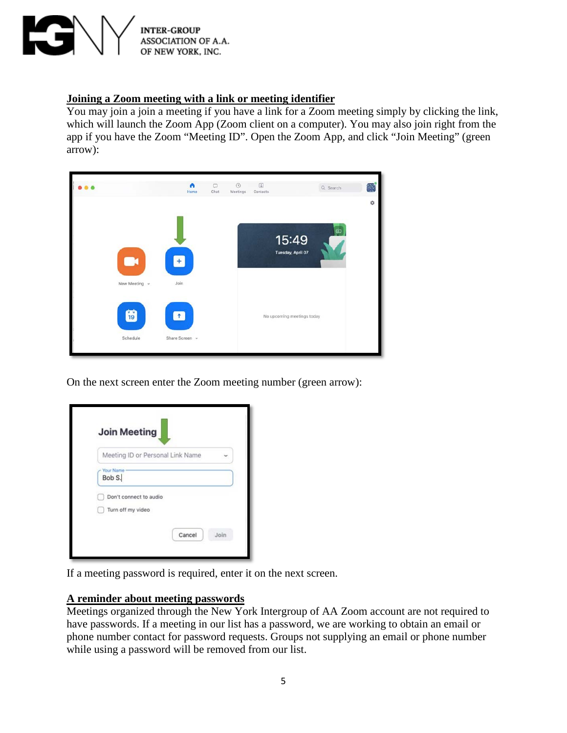

#### <span id="page-4-0"></span>**Joining a Zoom meeting with a link or meeting identifier**

You may join a join a meeting if you have a link for a Zoom meeting simply by clicking the link, which will launch the Zoom App (Zoom client on a computer). You may also join right from the app if you have the Zoom "Meeting ID". Open the Zoom App, and click "Join Meeting" (green arrow):



On the next screen enter the Zoom meeting number (green arrow):

| Meeting ID or Personal Link Name            |  |
|---------------------------------------------|--|
| Your Name<br>Bob S.                         |  |
| Don't connect to audio<br>Turn off my video |  |

If a meeting password is required, enter it on the next screen.

## <span id="page-4-1"></span>**A reminder about meeting passwords**

Meetings organized through the New York Intergroup of AA Zoom account are not required to have passwords. If a meeting in our list has a password, we are working to obtain an email or phone number contact for password requests. Groups not supplying an email or phone number while using a password will be removed from our list.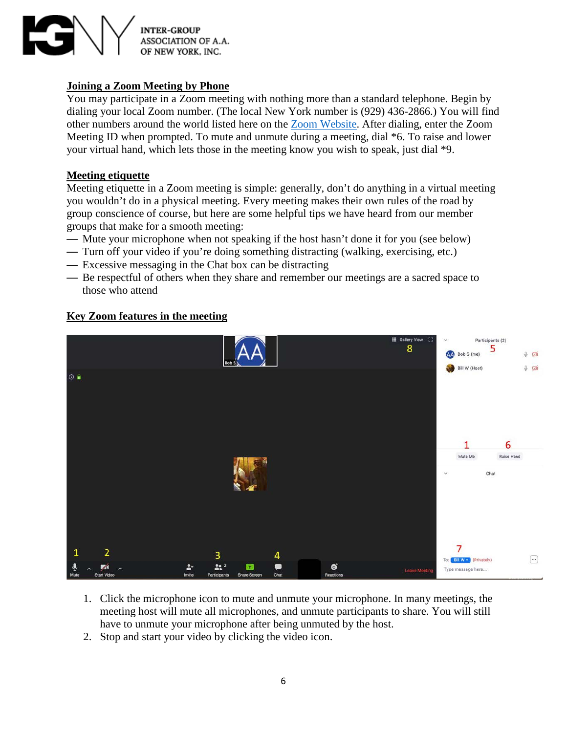

# <span id="page-5-0"></span>**Joining a Zoom Meeting by Phone**

You may participate in a Zoom meeting with nothing more than a standard telephone. Begin by dialing your local Zoom number. (The local New York number is (929) 436-2866.) You will find other numbers around the world listed here on the [Zoom Website.](https://zoom.us/u/aebEavi3FN) After dialing, enter the Zoom Meeting ID when prompted. To mute and unmute during a meeting, dial \*6. To raise and lower your virtual hand, which lets those in the meeting know you wish to speak, just dial \*9.

#### <span id="page-5-1"></span>**Meeting etiquette**

Meeting etiquette in a Zoom meeting is simple: generally, don't do anything in a virtual meeting you wouldn't do in a physical meeting. Every meeting makes their own rules of the road by group conscience of course, but here are some helpful tips we have heard from our member groups that make for a smooth meeting:

- Mute your microphone when not speaking if the host hasn't done it for you (see below)
- Turn off your video if you're doing something distracting (walking, exercising, etc.)
- Excessive messaging in the Chat box can be distracting
- Be respectful of others when they share and remember our meetings are a sacred space to those who attend



# <span id="page-5-2"></span>**Key Zoom features in the meeting**

- 1. Click the microphone icon to mute and unmute your microphone. In many meetings, the meeting host will mute all microphones, and unmute participants to share. You will still have to unmute your microphone after being unmuted by the host.
- 2. Stop and start your video by clicking the video icon.